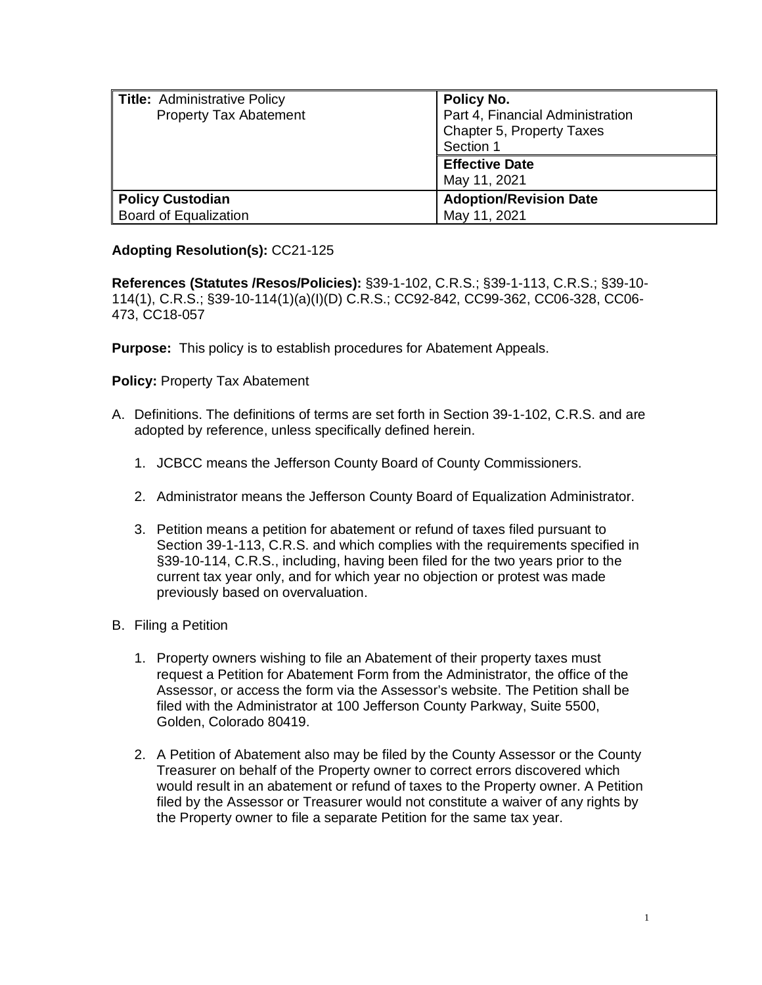| Title: Administrative Policy<br><b>Property Tax Abatement</b> | Policy No.<br>Part 4, Financial Administration<br>Chapter 5, Property Taxes<br>Section 1 |
|---------------------------------------------------------------|------------------------------------------------------------------------------------------|
|                                                               | <b>Effective Date</b><br>May 11, 2021                                                    |
| <b>Policy Custodian</b><br>Board of Equalization              | <b>Adoption/Revision Date</b><br>May 11, 2021                                            |

## **Adopting Resolution(s):** CC21-125

**References (Statutes /Resos/Policies):** §39-1-102, C.R.S.; §39-1-113, C.R.S.; §39-10- 114(1), C.R.S.; §39-10-114(1)(a)(I)(D) C.R.S.; CC92-842, CC99-362, CC06-328, CC06- 473, CC18-057

**Purpose:** This policy is to establish procedures for Abatement Appeals.

**Policy:** Property Tax Abatement

- A. Definitions. The definitions of terms are set forth in Section 39-1-102, C.R.S. and are adopted by reference, unless specifically defined herein.
	- 1. JCBCC means the Jefferson County Board of County Commissioners.
	- 2. Administrator means the Jefferson County Board of Equalization Administrator.
	- 3. Petition means a petition for abatement or refund of taxes filed pursuant to Section 39-1-113, C.R.S. and which complies with the requirements specified in §39-10-114, C.R.S., including, having been filed for the two years prior to the current tax year only, and for which year no objection or protest was made previously based on overvaluation.
- B. Filing a Petition
	- 1. Property owners wishing to file an Abatement of their property taxes must request a Petition for Abatement Form from the Administrator, the office of the Assessor, or access the form via the Assessor's website. The Petition shall be filed with the Administrator at 100 Jefferson County Parkway, Suite 5500, Golden, Colorado 80419.
	- 2. A Petition of Abatement also may be filed by the County Assessor or the County Treasurer on behalf of the Property owner to correct errors discovered which would result in an abatement or refund of taxes to the Property owner. A Petition filed by the Assessor or Treasurer would not constitute a waiver of any rights by the Property owner to file a separate Petition for the same tax year.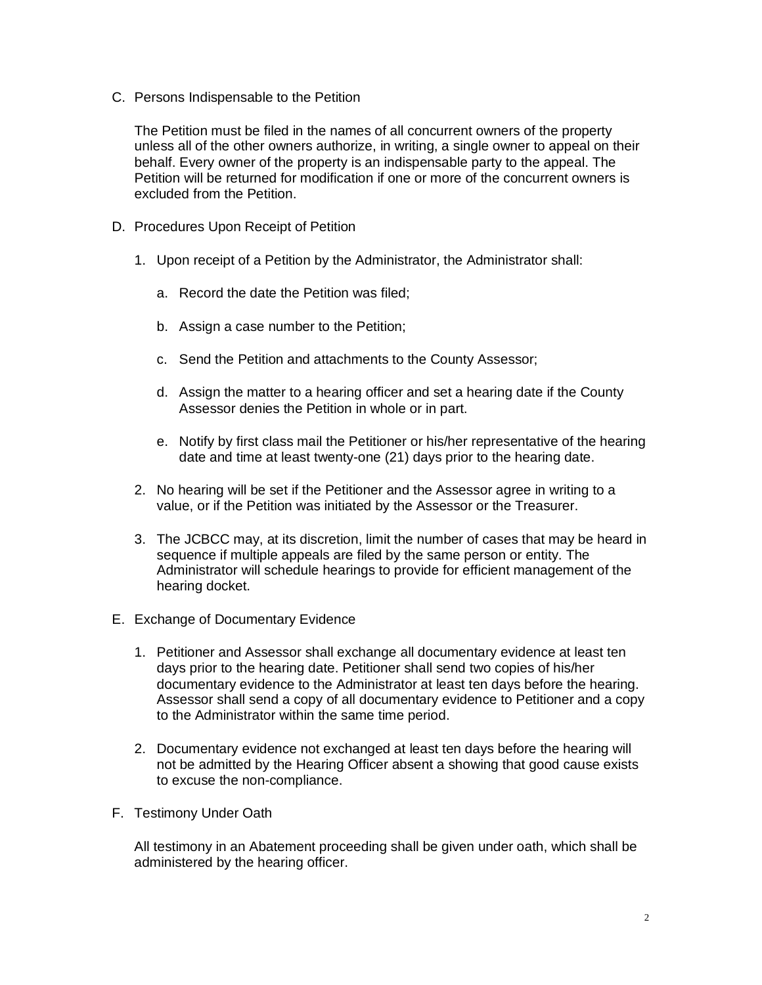C. Persons Indispensable to the Petition

The Petition must be filed in the names of all concurrent owners of the property unless all of the other owners authorize, in writing, a single owner to appeal on their behalf. Every owner of the property is an indispensable party to the appeal. The Petition will be returned for modification if one or more of the concurrent owners is excluded from the Petition.

- D. Procedures Upon Receipt of Petition
	- 1. Upon receipt of a Petition by the Administrator, the Administrator shall:
		- a. Record the date the Petition was filed;
		- b. Assign a case number to the Petition;
		- c. Send the Petition and attachments to the County Assessor;
		- d. Assign the matter to a hearing officer and set a hearing date if the County Assessor denies the Petition in whole or in part.
		- e. Notify by first class mail the Petitioner or his/her representative of the hearing date and time at least twenty-one (21) days prior to the hearing date.
	- 2. No hearing will be set if the Petitioner and the Assessor agree in writing to a value, or if the Petition was initiated by the Assessor or the Treasurer.
	- 3. The JCBCC may, at its discretion, limit the number of cases that may be heard in sequence if multiple appeals are filed by the same person or entity. The Administrator will schedule hearings to provide for efficient management of the hearing docket.
- E. Exchange of Documentary Evidence
	- 1. Petitioner and Assessor shall exchange all documentary evidence at least ten days prior to the hearing date. Petitioner shall send two copies of his/her documentary evidence to the Administrator at least ten days before the hearing. Assessor shall send a copy of all documentary evidence to Petitioner and a copy to the Administrator within the same time period.
	- 2. Documentary evidence not exchanged at least ten days before the hearing will not be admitted by the Hearing Officer absent a showing that good cause exists to excuse the non-compliance.
- F. Testimony Under Oath

All testimony in an Abatement proceeding shall be given under oath, which shall be administered by the hearing officer.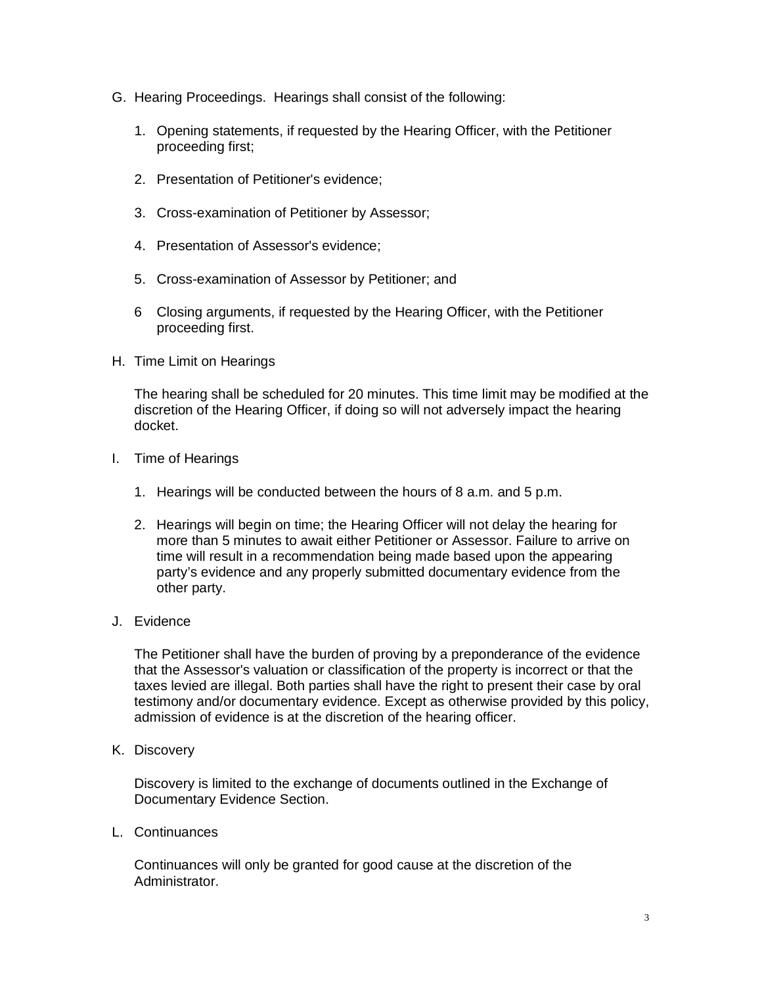- G. Hearing Proceedings. Hearings shall consist of the following:
	- 1. Opening statements, if requested by the Hearing Officer, with the Petitioner proceeding first;
	- 2. Presentation of Petitioner's evidence;
	- 3. Cross-examination of Petitioner by Assessor;
	- 4. Presentation of Assessor's evidence;
	- 5. Cross-examination of Assessor by Petitioner; and
	- 6 Closing arguments, if requested by the Hearing Officer, with the Petitioner proceeding first.
- H. Time Limit on Hearings

The hearing shall be scheduled for 20 minutes. This time limit may be modified at the discretion of the Hearing Officer, if doing so will not adversely impact the hearing docket.

- I. Time of Hearings
	- 1. Hearings will be conducted between the hours of 8 a.m. and 5 p.m.
	- 2. Hearings will begin on time; the Hearing Officer will not delay the hearing for more than 5 minutes to await either Petitioner or Assessor. Failure to arrive on time will result in a recommendation being made based upon the appearing party's evidence and any properly submitted documentary evidence from the other party.
- J. Evidence

The Petitioner shall have the burden of proving by a preponderance of the evidence that the Assessor's valuation or classification of the property is incorrect or that the taxes levied are illegal. Both parties shall have the right to present their case by oral testimony and/or documentary evidence. Except as otherwise provided by this policy, admission of evidence is at the discretion of the hearing officer.

K. Discovery

Discovery is limited to the exchange of documents outlined in the Exchange of Documentary Evidence Section.

L. Continuances

Continuances will only be granted for good cause at the discretion of the Administrator.